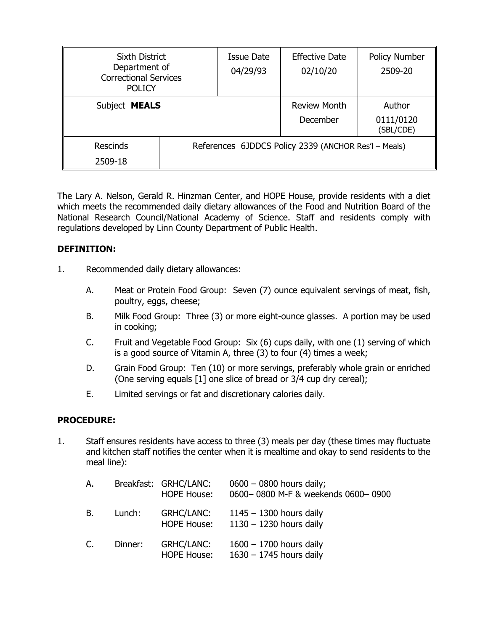| <b>Sixth District</b><br>Department of<br><b>Correctional Services</b><br><b>POLICY</b> |                                                      | <b>Issue Date</b><br>04/29/93 | <b>Effective Date</b><br>02/10/20 | <b>Policy Number</b><br>2509-20  |
|-----------------------------------------------------------------------------------------|------------------------------------------------------|-------------------------------|-----------------------------------|----------------------------------|
| Subject MEALS                                                                           |                                                      |                               | <b>Review Month</b><br>December   | Author<br>0111/0120<br>(SBL/CDE) |
| Rescinds<br>2509-18                                                                     | References 6JDDCS Policy 2339 (ANCHOR Res'l - Meals) |                               |                                   |                                  |

The Lary A. Nelson, Gerald R. Hinzman Center, and HOPE House, provide residents with a diet which meets the recommended daily dietary allowances of the Food and Nutrition Board of the National Research Council/National Academy of Science. Staff and residents comply with regulations developed by Linn County Department of Public Health.

## **DEFINITION:**

- 1. Recommended daily dietary allowances:
	- A. Meat or Protein Food Group: Seven (7) ounce equivalent servings of meat, fish, poultry, eggs, cheese;
	- B. Milk Food Group: Three (3) or more eight-ounce glasses. A portion may be used in cooking;
	- C. Fruit and Vegetable Food Group: Six (6) cups daily, with one (1) serving of which is a good source of Vitamin A, three (3) to four (4) times a week;
	- D. Grain Food Group: Ten (10) or more servings, preferably whole grain or enriched (One serving equals [1] one slice of bread or 3/4 cup dry cereal);
	- E. Limited servings or fat and discretionary calories daily.

## **PROCEDURE:**

1. Staff ensures residents have access to three (3) meals per day (these times may fluctuate and kitchen staff notifies the center when it is mealtime and okay to send residents to the meal line):

| А. |         | Breakfast: GRHC/LANC:<br><b>HOPE House:</b> | $0600 - 0800$ hours daily;<br>0600-0800 M-F & weekends 0600-0900 |
|----|---------|---------------------------------------------|------------------------------------------------------------------|
| В. | Lunch:  | <b>GRHC/LANC:</b><br><b>HOPE House:</b>     | $1145 - 1300$ hours daily<br>$1130 - 1230$ hours daily           |
| C. | Dinner: | <b>GRHC/LANC:</b><br><b>HOPE House:</b>     | $1600 - 1700$ hours daily<br>$1630 - 1745$ hours daily           |